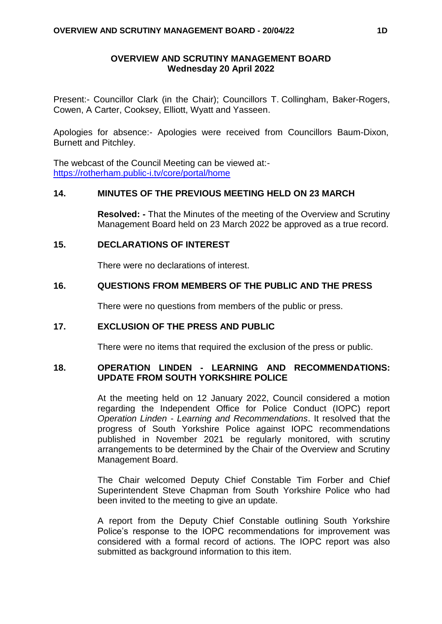#### **OVERVIEW AND SCRUTINY MANAGEMENT BOARD Wednesday 20 April 2022**

Present:- Councillor Clark (in the Chair); Councillors T. Collingham, Baker-Rogers, Cowen, A Carter, Cooksey, Elliott, Wyatt and Yasseen.

Apologies for absence:- Apologies were received from Councillors Baum-Dixon, Burnett and Pitchley.

The webcast of the Council Meeting can be viewed at: <https://rotherham.public-i.tv/core/portal/home>

#### **14. MINUTES OF THE PREVIOUS MEETING HELD ON 23 MARCH**

**Resolved: -** That the Minutes of the meeting of the Overview and Scrutiny Management Board held on 23 March 2022 be approved as a true record.

#### **15. DECLARATIONS OF INTEREST**

There were no declarations of interest.

#### **16. QUESTIONS FROM MEMBERS OF THE PUBLIC AND THE PRESS**

There were no questions from members of the public or press.

#### **17. EXCLUSION OF THE PRESS AND PUBLIC**

There were no items that required the exclusion of the press or public.

#### **18. OPERATION LINDEN - LEARNING AND RECOMMENDATIONS: UPDATE FROM SOUTH YORKSHIRE POLICE**

At the meeting held on 12 January 2022, Council considered a motion regarding the Independent Office for Police Conduct (IOPC) report *Operation Linden - Learning and Recommendations*. It resolved that the progress of South Yorkshire Police against IOPC recommendations published in November 2021 be regularly monitored, with scrutiny arrangements to be determined by the Chair of the Overview and Scrutiny Management Board.

The Chair welcomed Deputy Chief Constable Tim Forber and Chief Superintendent Steve Chapman from South Yorkshire Police who had been invited to the meeting to give an update.

A report from the Deputy Chief Constable outlining South Yorkshire Police's response to the IOPC recommendations for improvement was considered with a formal record of actions. The IOPC report was also submitted as background information to this item.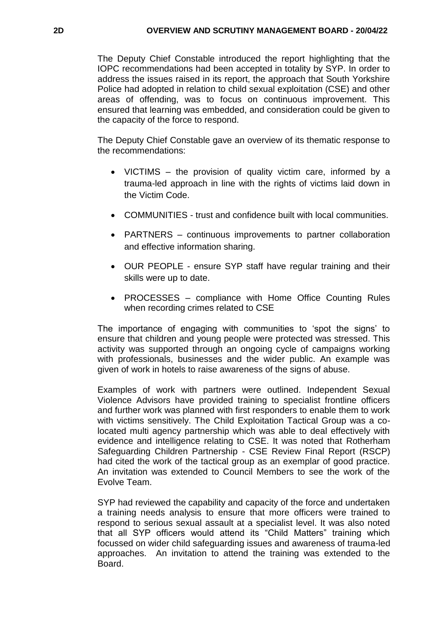The Deputy Chief Constable introduced the report highlighting that the IOPC recommendations had been accepted in totality by SYP. In order to address the issues raised in its report, the approach that South Yorkshire Police had adopted in relation to child sexual exploitation (CSE) and other areas of offending, was to focus on continuous improvement. This ensured that learning was embedded, and consideration could be given to the capacity of the force to respond.

The Deputy Chief Constable gave an overview of its thematic response to the recommendations:

- VICTIMS the provision of quality victim care, informed by a trauma-led approach in line with the rights of victims laid down in the Victim Code.
- COMMUNITIES trust and confidence built with local communities.
- PARTNERS continuous improvements to partner collaboration and effective information sharing.
- OUR PEOPLE ensure SYP staff have regular training and their skills were up to date.
- PROCESSES compliance with Home Office Counting Rules when recording crimes related to CSE

The importance of engaging with communities to 'spot the signs' to ensure that children and young people were protected was stressed. This activity was supported through an ongoing cycle of campaigns working with professionals, businesses and the wider public. An example was given of work in hotels to raise awareness of the signs of abuse.

Examples of work with partners were outlined. Independent Sexual Violence Advisors have provided training to specialist frontline officers and further work was planned with first responders to enable them to work with victims sensitively. The Child Exploitation Tactical Group was a colocated multi agency partnership which was able to deal effectively with evidence and intelligence relating to CSE. It was noted that Rotherham Safeguarding Children Partnership - CSE Review Final Report (RSCP) had cited the work of the tactical group as an exemplar of good practice. An invitation was extended to Council Members to see the work of the Evolve Team.

SYP had reviewed the capability and capacity of the force and undertaken a training needs analysis to ensure that more officers were trained to respond to serious sexual assault at a specialist level. It was also noted that all SYP officers would attend its "Child Matters" training which focussed on wider child safeguarding issues and awareness of trauma-led approaches. An invitation to attend the training was extended to the Board.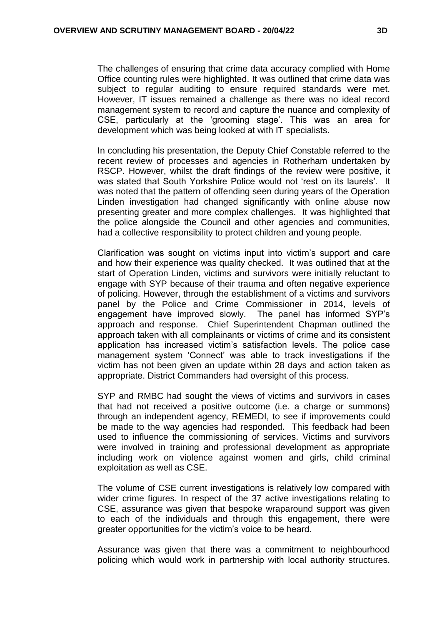The challenges of ensuring that crime data accuracy complied with Home Office counting rules were highlighted. It was outlined that crime data was subject to regular auditing to ensure required standards were met. However, IT issues remained a challenge as there was no ideal record management system to record and capture the nuance and complexity of CSE, particularly at the 'grooming stage'. This was an area for development which was being looked at with IT specialists.

In concluding his presentation, the Deputy Chief Constable referred to the recent review of processes and agencies in Rotherham undertaken by RSCP. However, whilst the draft findings of the review were positive, it was stated that South Yorkshire Police would not 'rest on its laurels'. It was noted that the pattern of offending seen during years of the Operation Linden investigation had changed significantly with online abuse now presenting greater and more complex challenges. It was highlighted that the police alongside the Council and other agencies and communities, had a collective responsibility to protect children and young people.

Clarification was sought on victims input into victim's support and care and how their experience was quality checked. It was outlined that at the start of Operation Linden, victims and survivors were initially reluctant to engage with SYP because of their trauma and often negative experience of policing. However, through the establishment of a victims and survivors panel by the Police and Crime Commissioner in 2014, levels of engagement have improved slowly. The panel has informed SYP's approach and response. Chief Superintendent Chapman outlined the approach taken with all complainants or victims of crime and its consistent application has increased victim's satisfaction levels. The police case management system 'Connect' was able to track investigations if the victim has not been given an update within 28 days and action taken as appropriate. District Commanders had oversight of this process.

SYP and RMBC had sought the views of victims and survivors in cases that had not received a positive outcome (i.e. a charge or summons) through an independent agency, REMEDI, to see if improvements could be made to the way agencies had responded. This feedback had been used to influence the commissioning of services. Victims and survivors were involved in training and professional development as appropriate including work on violence against women and girls, child criminal exploitation as well as CSE.

The volume of CSE current investigations is relatively low compared with wider crime figures. In respect of the 37 active investigations relating to CSE, assurance was given that bespoke wraparound support was given to each of the individuals and through this engagement, there were greater opportunities for the victim's voice to be heard.

Assurance was given that there was a commitment to neighbourhood policing which would work in partnership with local authority structures.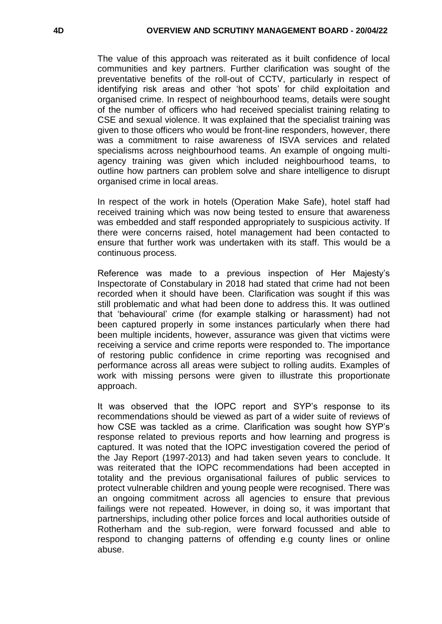The value of this approach was reiterated as it built confidence of local communities and key partners. Further clarification was sought of the preventative benefits of the roll-out of CCTV, particularly in respect of identifying risk areas and other 'hot spots' for child exploitation and organised crime. In respect of neighbourhood teams, details were sought of the number of officers who had received specialist training relating to CSE and sexual violence. It was explained that the specialist training was given to those officers who would be front-line responders, however, there was a commitment to raise awareness of ISVA services and related specialisms across neighbourhood teams. An example of ongoing multiagency training was given which included neighbourhood teams, to outline how partners can problem solve and share intelligence to disrupt organised crime in local areas.

In respect of the work in hotels (Operation Make Safe), hotel staff had received training which was now being tested to ensure that awareness was embedded and staff responded appropriately to suspicious activity. If there were concerns raised, hotel management had been contacted to ensure that further work was undertaken with its staff. This would be a continuous process.

Reference was made to a previous inspection of Her Majesty's Inspectorate of Constabulary in 2018 had stated that crime had not been recorded when it should have been. Clarification was sought if this was still problematic and what had been done to address this. It was outlined that 'behavioural' crime (for example stalking or harassment) had not been captured properly in some instances particularly when there had been multiple incidents, however, assurance was given that victims were receiving a service and crime reports were responded to. The importance of restoring public confidence in crime reporting was recognised and performance across all areas were subject to rolling audits. Examples of work with missing persons were given to illustrate this proportionate approach.

It was observed that the IOPC report and SYP's response to its recommendations should be viewed as part of a wider suite of reviews of how CSE was tackled as a crime. Clarification was sought how SYP's response related to previous reports and how learning and progress is captured. It was noted that the IOPC investigation covered the period of the Jay Report (1997-2013) and had taken seven years to conclude. It was reiterated that the IOPC recommendations had been accepted in totality and the previous organisational failures of public services to protect vulnerable children and young people were recognised. There was an ongoing commitment across all agencies to ensure that previous failings were not repeated. However, in doing so, it was important that partnerships, including other police forces and local authorities outside of Rotherham and the sub-region, were forward focussed and able to respond to changing patterns of offending e.g county lines or online abuse.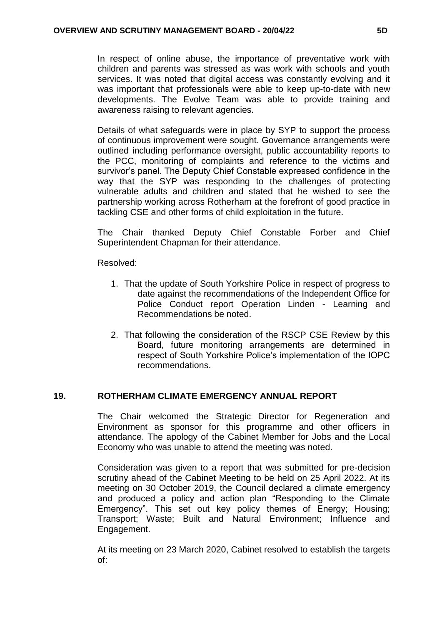In respect of online abuse, the importance of preventative work with children and parents was stressed as was work with schools and youth services. It was noted that digital access was constantly evolving and it was important that professionals were able to keep up-to-date with new developments. The Evolve Team was able to provide training and awareness raising to relevant agencies.

Details of what safeguards were in place by SYP to support the process of continuous improvement were sought. Governance arrangements were outlined including performance oversight, public accountability reports to the PCC, monitoring of complaints and reference to the victims and survivor's panel. The Deputy Chief Constable expressed confidence in the way that the SYP was responding to the challenges of protecting vulnerable adults and children and stated that he wished to see the partnership working across Rotherham at the forefront of good practice in tackling CSE and other forms of child exploitation in the future.

The Chair thanked Deputy Chief Constable Forber and Chief Superintendent Chapman for their attendance.

Resolved:

- 1. That the update of South Yorkshire Police in respect of progress to date against the recommendations of the Independent Office for Police Conduct report Operation Linden - Learning and Recommendations be noted.
- 2. That following the consideration of the RSCP CSE Review by this Board, future monitoring arrangements are determined in respect of South Yorkshire Police's implementation of the IOPC recommendations.

## **19. ROTHERHAM CLIMATE EMERGENCY ANNUAL REPORT**

The Chair welcomed the Strategic Director for Regeneration and Environment as sponsor for this programme and other officers in attendance. The apology of the Cabinet Member for Jobs and the Local Economy who was unable to attend the meeting was noted.

Consideration was given to a report that was submitted for pre-decision scrutiny ahead of the Cabinet Meeting to be held on 25 April 2022. At its meeting on 30 October 2019, the Council declared a climate emergency and produced a policy and action plan "Responding to the Climate Emergency". This set out key policy themes of Energy; Housing; Transport; Waste; Built and Natural Environment; Influence and Engagement.

At its meeting on 23 March 2020, Cabinet resolved to establish the targets of: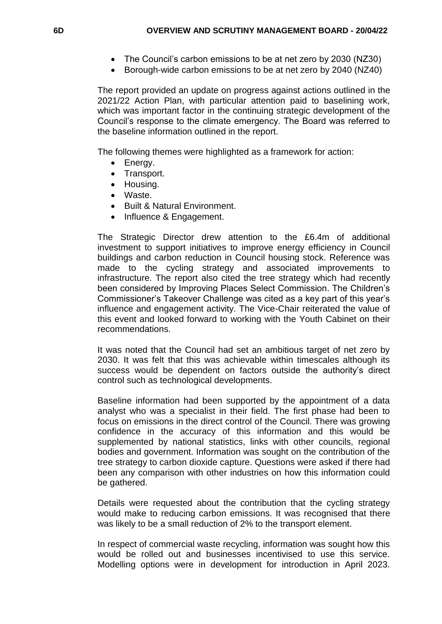- The Council's carbon emissions to be at net zero by 2030 (NZ30)
- Borough-wide carbon emissions to be at net zero by 2040 (NZ40)

The report provided an update on progress against actions outlined in the 2021/22 Action Plan, with particular attention paid to baselining work, which was important factor in the continuing strategic development of the Council's response to the climate emergency. The Board was referred to the baseline information outlined in the report.

The following themes were highlighted as a framework for action:

- Energy.
- Transport.
- Housing.
- Waste.
- Built & Natural Environment.
- Influence & Engagement.

The Strategic Director drew attention to the £6.4m of additional investment to support initiatives to improve energy efficiency in Council buildings and carbon reduction in Council housing stock. Reference was made to the cycling strategy and associated improvements to infrastructure. The report also cited the tree strategy which had recently been considered by Improving Places Select Commission. The Children's Commissioner's Takeover Challenge was cited as a key part of this year's influence and engagement activity. The Vice-Chair reiterated the value of this event and looked forward to working with the Youth Cabinet on their recommendations.

It was noted that the Council had set an ambitious target of net zero by 2030. It was felt that this was achievable within timescales although its success would be dependent on factors outside the authority's direct control such as technological developments.

Baseline information had been supported by the appointment of a data analyst who was a specialist in their field. The first phase had been to focus on emissions in the direct control of the Council. There was growing confidence in the accuracy of this information and this would be supplemented by national statistics, links with other councils, regional bodies and government. Information was sought on the contribution of the tree strategy to carbon dioxide capture. Questions were asked if there had been any comparison with other industries on how this information could be gathered.

Details were requested about the contribution that the cycling strategy would make to reducing carbon emissions. It was recognised that there was likely to be a small reduction of 2% to the transport element.

In respect of commercial waste recycling, information was sought how this would be rolled out and businesses incentivised to use this service. Modelling options were in development for introduction in April 2023.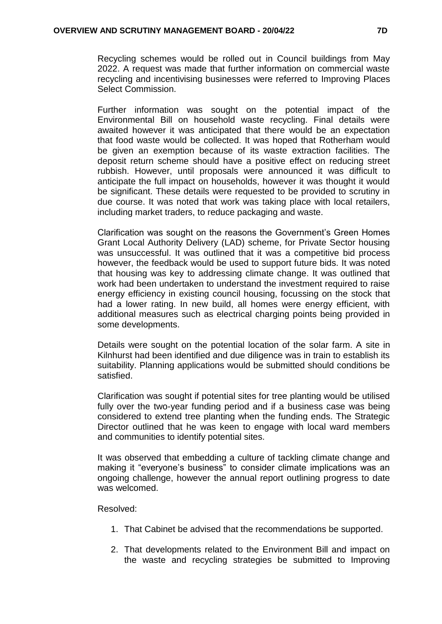Recycling schemes would be rolled out in Council buildings from May 2022. A request was made that further information on commercial waste recycling and incentivising businesses were referred to Improving Places Select Commission.

Further information was sought on the potential impact of the Environmental Bill on household waste recycling. Final details were awaited however it was anticipated that there would be an expectation that food waste would be collected. It was hoped that Rotherham would be given an exemption because of its waste extraction facilities. The deposit return scheme should have a positive effect on reducing street rubbish. However, until proposals were announced it was difficult to anticipate the full impact on households, however it was thought it would be significant. These details were requested to be provided to scrutiny in due course. It was noted that work was taking place with local retailers, including market traders, to reduce packaging and waste.

Clarification was sought on the reasons the Government's Green Homes Grant Local Authority Delivery (LAD) scheme, for Private Sector housing was unsuccessful. It was outlined that it was a competitive bid process however, the feedback would be used to support future bids. It was noted that housing was key to addressing climate change. It was outlined that work had been undertaken to understand the investment required to raise energy efficiency in existing council housing, focussing on the stock that had a lower rating. In new build, all homes were energy efficient, with additional measures such as electrical charging points being provided in some developments.

Details were sought on the potential location of the solar farm. A site in Kilnhurst had been identified and due diligence was in train to establish its suitability. Planning applications would be submitted should conditions be satisfied.

Clarification was sought if potential sites for tree planting would be utilised fully over the two-year funding period and if a business case was being considered to extend tree planting when the funding ends. The Strategic Director outlined that he was keen to engage with local ward members and communities to identify potential sites.

It was observed that embedding a culture of tackling climate change and making it "everyone's business" to consider climate implications was an ongoing challenge, however the annual report outlining progress to date was welcomed.

## Resolved:

- 1. That Cabinet be advised that the recommendations be supported.
- 2. That developments related to the Environment Bill and impact on the waste and recycling strategies be submitted to Improving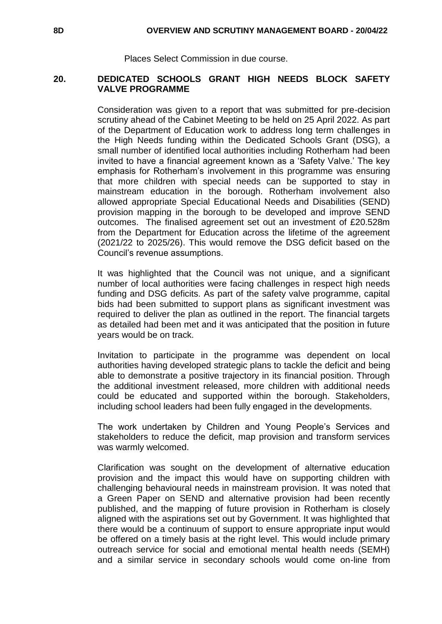#### **8D OVERVIEW AND SCRUTINY MANAGEMENT BOARD - 20/04/22**

Places Select Commission in due course.

#### **20. DEDICATED SCHOOLS GRANT HIGH NEEDS BLOCK SAFETY VALVE PROGRAMME**

Consideration was given to a report that was submitted for pre-decision scrutiny ahead of the Cabinet Meeting to be held on 25 April 2022. As part of the Department of Education work to address long term challenges in the High Needs funding within the Dedicated Schools Grant (DSG), a small number of identified local authorities including Rotherham had been invited to have a financial agreement known as a 'Safety Valve.' The key emphasis for Rotherham's involvement in this programme was ensuring that more children with special needs can be supported to stay in mainstream education in the borough. Rotherham involvement also allowed appropriate Special Educational Needs and Disabilities (SEND) provision mapping in the borough to be developed and improve SEND outcomes. The finalised agreement set out an investment of £20.528m from the Department for Education across the lifetime of the agreement (2021/22 to 2025/26). This would remove the DSG deficit based on the Council's revenue assumptions.

It was highlighted that the Council was not unique, and a significant number of local authorities were facing challenges in respect high needs funding and DSG deficits. As part of the safety valve programme, capital bids had been submitted to support plans as significant investment was required to deliver the plan as outlined in the report. The financial targets as detailed had been met and it was anticipated that the position in future years would be on track.

Invitation to participate in the programme was dependent on local authorities having developed strategic plans to tackle the deficit and being able to demonstrate a positive trajectory in its financial position. Through the additional investment released, more children with additional needs could be educated and supported within the borough. Stakeholders, including school leaders had been fully engaged in the developments.

The work undertaken by Children and Young People's Services and stakeholders to reduce the deficit, map provision and transform services was warmly welcomed.

Clarification was sought on the development of alternative education provision and the impact this would have on supporting children with challenging behavioural needs in mainstream provision. It was noted that a Green Paper on SEND and alternative provision had been recently published, and the mapping of future provision in Rotherham is closely aligned with the aspirations set out by Government. It was highlighted that there would be a continuum of support to ensure appropriate input would be offered on a timely basis at the right level. This would include primary outreach service for social and emotional mental health needs (SEMH) and a similar service in secondary schools would come on-line from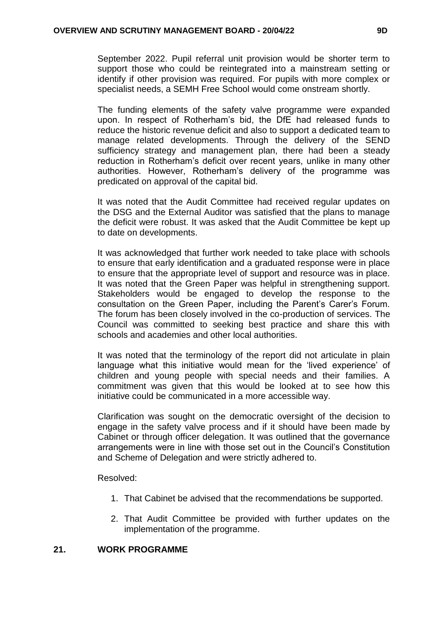September 2022. Pupil referral unit provision would be shorter term to support those who could be reintegrated into a mainstream setting or identify if other provision was required. For pupils with more complex or specialist needs, a SEMH Free School would come onstream shortly.

The funding elements of the safety valve programme were expanded upon. In respect of Rotherham's bid, the DfE had released funds to reduce the historic revenue deficit and also to support a dedicated team to manage related developments. Through the delivery of the SEND sufficiency strategy and management plan, there had been a steady reduction in Rotherham's deficit over recent years, unlike in many other authorities. However, Rotherham's delivery of the programme was predicated on approval of the capital bid.

It was noted that the Audit Committee had received regular updates on the DSG and the External Auditor was satisfied that the plans to manage the deficit were robust. It was asked that the Audit Committee be kept up to date on developments.

It was acknowledged that further work needed to take place with schools to ensure that early identification and a graduated response were in place to ensure that the appropriate level of support and resource was in place. It was noted that the Green Paper was helpful in strengthening support. Stakeholders would be engaged to develop the response to the consultation on the Green Paper, including the Parent's Carer's Forum. The forum has been closely involved in the co-production of services. The Council was committed to seeking best practice and share this with schools and academies and other local authorities.

It was noted that the terminology of the report did not articulate in plain language what this initiative would mean for the 'lived experience' of children and young people with special needs and their families. A commitment was given that this would be looked at to see how this initiative could be communicated in a more accessible way.

Clarification was sought on the democratic oversight of the decision to engage in the safety valve process and if it should have been made by Cabinet or through officer delegation. It was outlined that the governance arrangements were in line with those set out in the Council's Constitution and Scheme of Delegation and were strictly adhered to.

Resolved:

- 1. That Cabinet be advised that the recommendations be supported.
- 2. That Audit Committee be provided with further updates on the implementation of the programme.

#### **21. WORK PROGRAMME**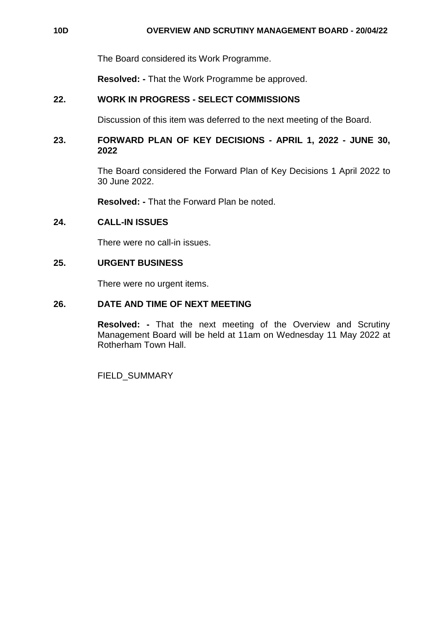### **10D OVERVIEW AND SCRUTINY MANAGEMENT BOARD - 20/04/22**

The Board considered its Work Programme.

**Resolved: -** That the Work Programme be approved.

## **22. WORK IN PROGRESS - SELECT COMMISSIONS**

Discussion of this item was deferred to the next meeting of the Board.

## **23. FORWARD PLAN OF KEY DECISIONS - APRIL 1, 2022 - JUNE 30, 2022**

The Board considered the Forward Plan of Key Decisions 1 April 2022 to 30 June 2022.

**Resolved: -** That the Forward Plan be noted.

## **24. CALL-IN ISSUES**

There were no call-in issues.

## **25. URGENT BUSINESS**

There were no urgent items.

## **26. DATE AND TIME OF NEXT MEETING**

**Resolved: -** That the next meeting of the Overview and Scrutiny Management Board will be held at 11am on Wednesday 11 May 2022 at Rotherham Town Hall.

FIELD\_SUMMARY